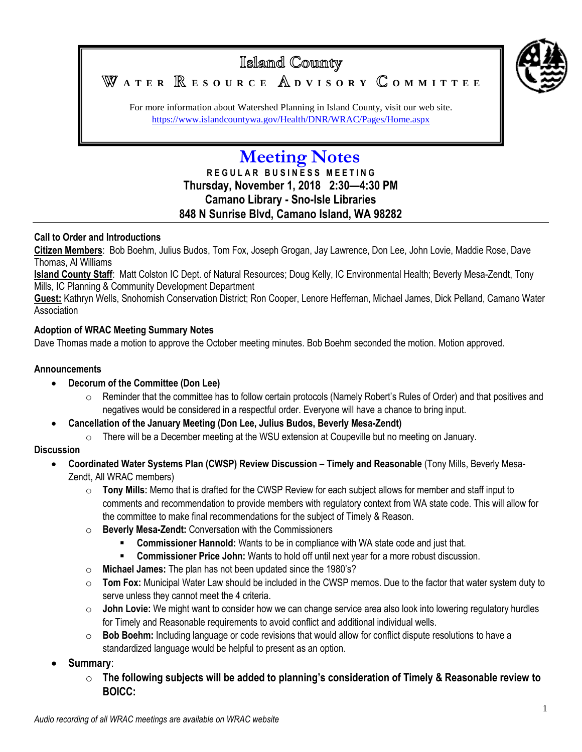

## Islamd County **A T E R E S O U R C E D V I S O R Y O M M I T T E E**

For more information about Watershed Planning in Island County, visit our web site. <https://www.islandcountywa.gov/Health/DNR/WRAC/Pages/Home.aspx>

# **Meeting Notes**

**R E G U L A R B U S I N E S S M E E T I N G Thursday, November 1, 2018 2:30—4:30 PM Camano Library - Sno-Isle Libraries 848 N Sunrise Blvd, Camano Island, WA 98282**

#### **Call to Order and Introductions**

**Citizen Members**: Bob Boehm, Julius Budos, Tom Fox, Joseph Grogan, Jay Lawrence, Don Lee, John Lovie, Maddie Rose, Dave Thomas, Al Williams

**Island County Staff**: Matt Colston IC Dept. of Natural Resources; Doug Kelly, IC Environmental Health; Beverly Mesa-Zendt, Tony Mills, IC Planning & Community Development Department

**Guest:** Kathryn Wells, Snohomish Conservation District; Ron Cooper, Lenore Heffernan, Michael James, Dick Pelland, Camano Water Association

#### **Adoption of WRAC Meeting Summary Notes**

Dave Thomas made a motion to approve the October meeting minutes. Bob Boehm seconded the motion. Motion approved.

#### **Announcements**

#### **Decorum of the Committee (Don Lee)**

- o Reminder that the committee has to follow certain protocols (Namely Robert's Rules of Order) and that positives and negatives would be considered in a respectful order. Everyone will have a chance to bring input.
- **Cancellation of the January Meeting (Don Lee, Julius Budos, Beverly Mesa-Zendt)**
	- There will be a December meeting at the WSU extension at Coupeville but no meeting on January.

#### **Discussion**

- **Coordinated Water Systems Plan (CWSP) Review Discussion – Timely and Reasonable** (Tony Mills, Beverly Mesa-Zendt, All WRAC members)
	- o **Tony Mills:** Memo that is drafted for the CWSP Review for each subject allows for member and staff input to comments and recommendation to provide members with regulatory context from WA state code. This will allow for the committee to make final recommendations for the subject of Timely & Reason.
	- o **Beverly Mesa-Zendt:** Conversation with the Commissioners
		- **Commissioner Hannold:** Wants to be in compliance with WA state code and just that.
		- **Commissioner Price John:** Wants to hold off until next year for a more robust discussion.
	- o **Michael James:** The plan has not been updated since the 1980's?
	- o **Tom Fox:** Municipal Water Law should be included in the CWSP memos. Due to the factor that water system duty to serve unless they cannot meet the 4 criteria.
	- o **John Lovie:** We might want to consider how we can change service area also look into lowering regulatory hurdles for Timely and Reasonable requirements to avoid conflict and additional individual wells.
	- o **Bob Boehm:** Including language or code revisions that would allow for conflict dispute resolutions to have a standardized language would be helpful to present as an option.
- **Summary**:
	- o **The following subjects will be added to planning's consideration of Timely & Reasonable review to BOICC:**